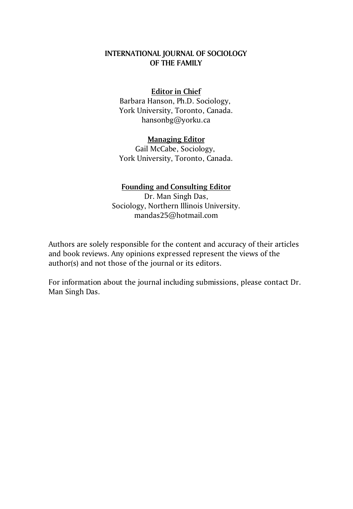### **INTERNATIONAL JOURNAL OF SOCIOLOGY OF THE FAMILY**

#### **Editor in Chief**

Barbara Hanson, Ph.D. Sociology, York University, Toronto, Canada. hansonbg@yorku.ca

#### **Managing Editor**

Gail McCabe, Sociology, York University, Toronto, Canada.

### **Founding and Consulting Editor**

Dr. Man Singh Das, Sociology, Northern Illinois University. mandas25@hotmail.com

Authors are solely responsible for the content and accuracy of their articles and book reviews. Any opinions expressed represent the views of the author(s) and not those of the journal or its editors.

For information about the journal including submissions, please contact Dr. Man Singh Das.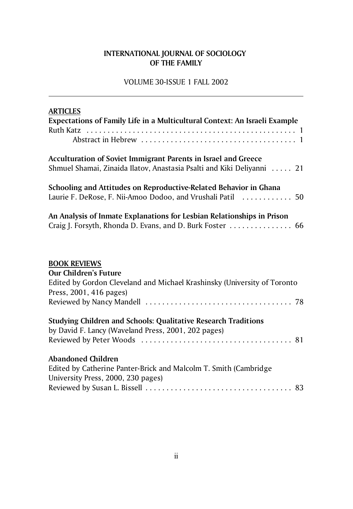### **INTERNATIONAL JOURNAL OF SOCIOLOGY OF THE FAMILY**

VOLUME 30-ISSUE 1 FALL 2002

| <b>ARTICLES</b>                                                                                                                                            |
|------------------------------------------------------------------------------------------------------------------------------------------------------------|
| Expectations of Family Life in a Multicultural Context: An Israeli Example                                                                                 |
|                                                                                                                                                            |
|                                                                                                                                                            |
| <b>Acculturation of Soviet Immigrant Parents in Israel and Greece</b><br>Shmuel Shamai, Zinaida Ilatov, Anastasia Psalti and Kiki Deliyanni  21            |
| Schooling and Attitudes on Reproductive-Related Behavior in Ghana<br>Laurie F. DeRose, F. Nii-Amoo Dodoo, and Vrushali Patil  50                           |
| An Analysis of Inmate Explanations for Lesbian Relationships in Prison<br>Craig J. Forsyth, Rhonda D. Evans, and D. Burk Foster  66                        |
| <b>BOOK REVIEWS</b><br><b>Our Children's Future</b><br>Edited by Gordon Cleveland and Michael Krashinsky (University of Toronto<br>Press, 2001, 416 pages) |
| <b>Studying Children and Schools: Qualitative Research Traditions</b><br>by David F. Lancy (Waveland Press, 2001, 202 pages)                               |
| <b>Abandoned Children</b><br>Edited by Catherine Panter-Brick and Malcolm T. Smith (Cambridge<br>University Press, 2000, 230 pages)                        |